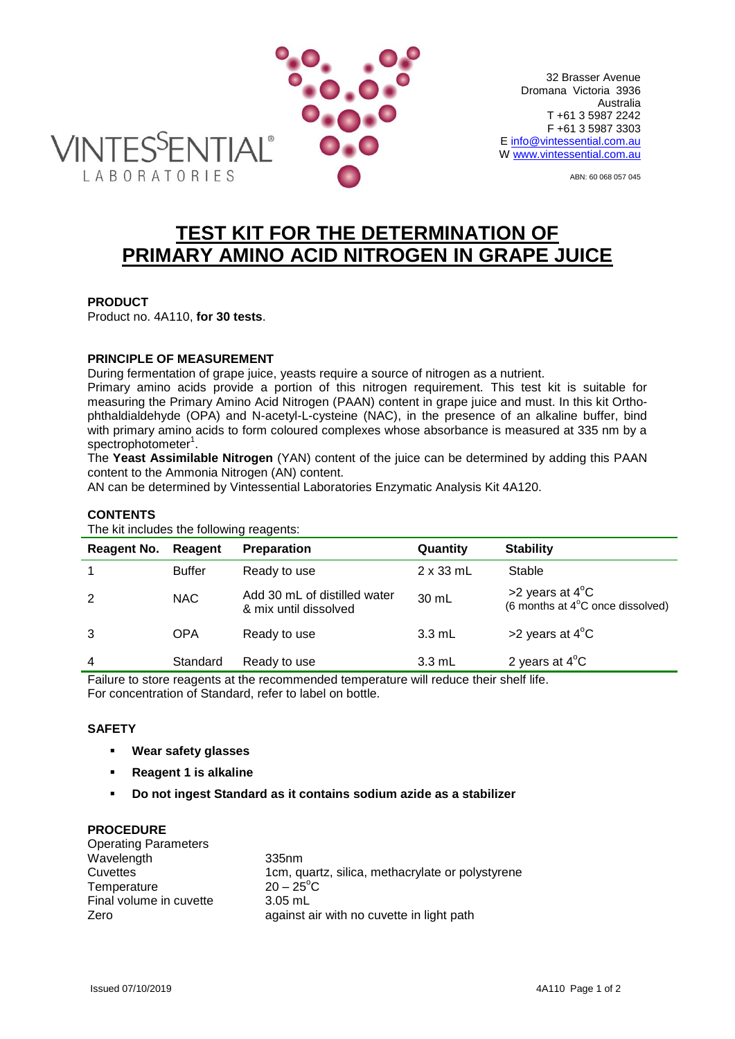

 32 Brasser Avenue Dromana Victoria 3936 Australia T +61 3 5987 2242 F +61 3 5987 3303 E [info@vintessential.com.](mailto:info@vintessential.com)au W [www.vintessential.com.au](http://www.vintessential.com.au/)

ABN: 60 068 057 045

# **TEST KIT FOR THE DETERMINATION OF PRIMARY AMINO ACID NITROGEN IN GRAPE JUICE**

# **PRODUCT**

Product no. 4A110, **for 30 tests**.

# **PRINCIPLE OF MEASUREMENT**

During fermentation of grape juice, yeasts require a source of nitrogen as a nutrient.

Primary amino acids provide a portion of this nitrogen requirement. This test kit is suitable for measuring the Primary Amino Acid Nitrogen (PAAN) content in grape juice and must. In this kit Orthophthaldialdehyde (OPA) and N-acetyl-L-cysteine (NAC), in the presence of an alkaline buffer, bind with primary amino acids to form coloured complexes whose absorbance is measured at 335 nm by a spectrophotometer<sup>1</sup>.

The **Yeast Assimilable Nitrogen** (YAN) content of the juice can be determined by adding this PAAN content to the Ammonia Nitrogen (AN) content.

AN can be determined by Vintessential Laboratories Enzymatic Analysis Kit 4A120.

## **CONTENTS**

The kit includes the following reagents:

| <b>Reagent No.</b> | Reagent                                                                                                         | <b>Preparation</b>                                    | Quantity         | <b>Stability</b>                                                             |
|--------------------|-----------------------------------------------------------------------------------------------------------------|-------------------------------------------------------|------------------|------------------------------------------------------------------------------|
|                    | <b>Buffer</b>                                                                                                   | Ready to use                                          | $2 \times 33$ mL | Stable                                                                       |
| 2                  | <b>NAC</b>                                                                                                      | Add 30 mL of distilled water<br>& mix until dissolved | 30 mL            | $>2$ years at 4 <sup>o</sup> C<br>(6 months at $4^{\circ}$ C once dissolved) |
| 3                  | <b>OPA</b>                                                                                                      | Ready to use                                          | $3.3$ mL         | >2 years at $4^{\circ}$ C                                                    |
| $\overline{4}$     | Standard                                                                                                        | Ready to use                                          | $3.3 \text{ mL}$ | 2 years at $4^{\circ}$ C                                                     |
| - -                | the contract of the contract of the contract of the contract of the contract of the contract of the contract of | .                                                     |                  |                                                                              |

Failure to store reagents at the recommended temperature will reduce their shelf life. For concentration of Standard, refer to label on bottle.

## **SAFETY**

- **Wear safety glasses**
- **Reagent 1 is alkaline**
- **Do not ingest Standard as it contains sodium azide as a stabilizer**

#### **PROCEDURE**

| <b>Operating Parameters</b> |                                                  |
|-----------------------------|--------------------------------------------------|
| Wavelength                  | 335 <sub>nm</sub>                                |
| Cuvettes                    | 1cm, quartz, silica, methacrylate or polystyrene |
| Temperature                 | $20 - 25^{\circ}$ C                              |
| Final volume in cuvette     | 3.05 mL                                          |
| Zero                        | against air with no cuvette in light path        |